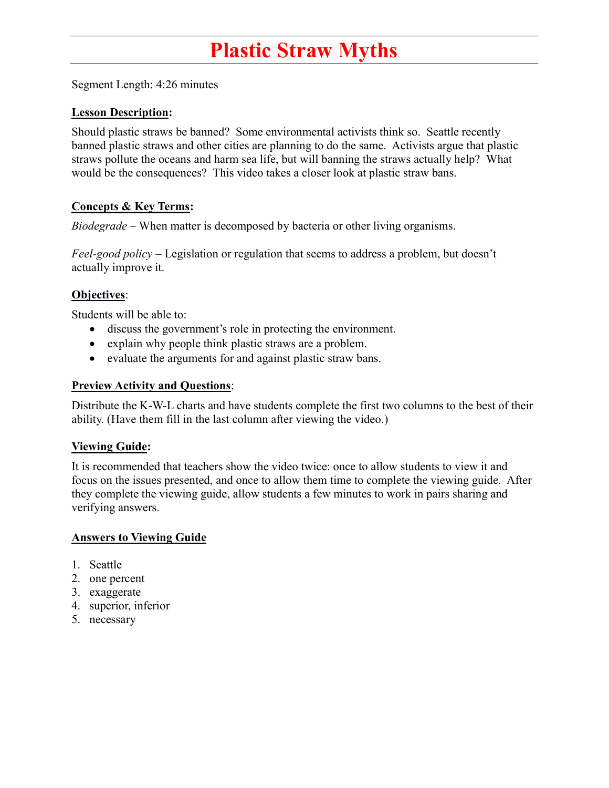# **P**lastic Straw Myths

Segment Length: 4:26 minutes

### Lesson Description:

Should plastic straws be banned? Some environmental activists think so. Seattle recently banned plastic straws and other cities are planning to do the same. Activists argue that plastic straws pollute the oceans and harm sea life, but will banning the straws actually help? What would be the consequences? This video takes a closer look at plastic straw bans.

# Concepts & Key Terms:

Biodegrade – When matter is decomposed by bacteria or other living organisms.

Feel-good policy – Legislation or regulation that seems to address a problem, but doesn't actually improve it.

#### Objectives:

Students will be able to:

- discuss the government's role in protecting the environment.
- explain why people think plastic straws are a problem.
- evaluate the arguments for and against plastic straw bans.

#### Preview Activity and Questions:

Distribute the K-W-L charts and have students complete the first two columns to the best of their ability. (Have them fill in the last column after viewing the video.)

# **Viewing Guide:**

It is recommended that teachers show the video twice: once to allow students to view it and focus on the issues presented, and once to allow them time to complete the viewing guide. After they complete the viewing guide, allow students a few minutes to work in pairs sharing and verifying answers.

#### Answers to Viewing Guide

- 1. Seattle
- 2. one percent
- 3. exaggerate
- 4. superior, inferior
- 5. necessary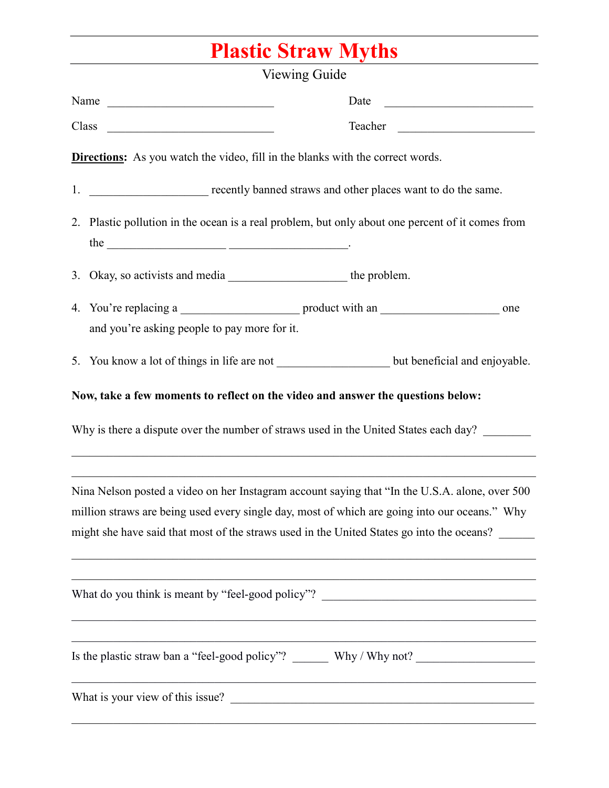# Plastic Straw Myths

| Viewing Guide                                                                                                                                                                                                                                                                                                                                                                    |
|----------------------------------------------------------------------------------------------------------------------------------------------------------------------------------------------------------------------------------------------------------------------------------------------------------------------------------------------------------------------------------|
| Name<br>Date<br><u> 1980 - Jan Stein Stein, fransk politik (d. 1980)</u>                                                                                                                                                                                                                                                                                                         |
|                                                                                                                                                                                                                                                                                                                                                                                  |
| <b>Directions:</b> As you watch the video, fill in the blanks with the correct words.                                                                                                                                                                                                                                                                                            |
|                                                                                                                                                                                                                                                                                                                                                                                  |
| 2. Plastic pollution in the ocean is a real problem, but only about one percent of it comes from                                                                                                                                                                                                                                                                                 |
|                                                                                                                                                                                                                                                                                                                                                                                  |
|                                                                                                                                                                                                                                                                                                                                                                                  |
| and you're asking people to pay more for it.                                                                                                                                                                                                                                                                                                                                     |
| 5. You know a lot of things in life are not ________________________ but beneficial and enjoyable.                                                                                                                                                                                                                                                                               |
| Now, take a few moments to reflect on the video and answer the questions below:                                                                                                                                                                                                                                                                                                  |
| Why is there a dispute over the number of straws used in the United States each day?                                                                                                                                                                                                                                                                                             |
| ,我们也不能在这里的时候,我们也不能在这里的时候,我们也不能会在这里的时候,我们也不能会在这里的时候,我们也不能会在这里的时候,我们也不能会在这里的时候,我们也<br>Nina Nelson posted a video on her Instagram account saying that "In the U.S.A. alone, over 500<br>million straws are being used every single day, most of which are going into our oceans." Why<br>might she have said that most of the straws used in the United States go into the oceans? |
| What do you think is meant by "feel-good policy"? _______________________________                                                                                                                                                                                                                                                                                                |
|                                                                                                                                                                                                                                                                                                                                                                                  |
| What is your view of this issue?                                                                                                                                                                                                                                                                                                                                                 |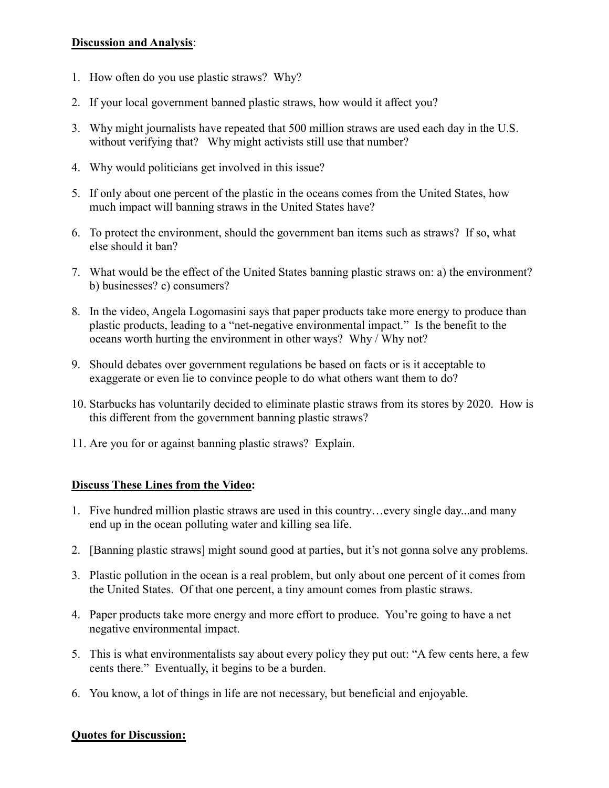# Discussion and Analysis:

- 1. How often do you use plastic straws? Why?
- 2. If your local government banned plastic straws, how would it affect you?
- 3. Why might journalists have repeated that 500 million straws are used each day in the U.S. without verifying that? Why might activists still use that number?
- 4. Why would politicians get involved in this issue?
- 5. If only about one percent of the plastic in the oceans comes from the United States, how much impact will banning straws in the United States have?
- 6. To protect the environment, should the government ban items such as straws? If so, what else should it ban?
- 7. What would be the effect of the United States banning plastic straws on: a) the environment? b) businesses? c) consumers?
- 8. In the video, Angela Logomasini says that paper products take more energy to produce than plastic products, leading to a "net-negative environmental impact." Is the benefit to the oceans worth hurting the environment in other ways? Why / Why not?
- 9. Should debates over government regulations be based on facts or is it acceptable to exaggerate or even lie to convince people to do what others want them to do?
- 10. Starbucks has voluntarily decided to eliminate plastic straws from its stores by 2020. How is this different from the government banning plastic straws?
- 11. Are you for or against banning plastic straws? Explain.

# Discuss These Lines from the Video:

- 1. Five hundred million plastic straws are used in this country…every single day...and many end up in the ocean polluting water and killing sea life.
- 2. [Banning plastic straws] might sound good at parties, but it's not gonna solve any problems.
- 3. Plastic pollution in the ocean is a real problem, but only about one percent of it comes from the United States. Of that one percent, a tiny amount comes from plastic straws.
- 4. Paper products take more energy and more effort to produce. You're going to have a net negative environmental impact.
- 5. This is what environmentalists say about every policy they put out: "A few cents here, a few cents there." Eventually, it begins to be a burden.
- 6. You know, a lot of things in life are not necessary, but beneficial and enjoyable.

# Quotes for Discussion: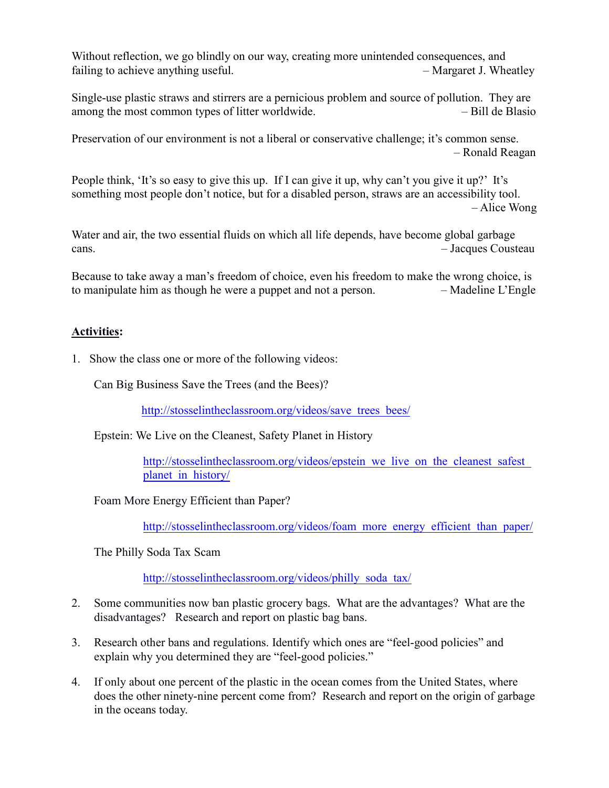Without reflection, we go blindly on our way, creating more unintended consequences, and failing to achieve anything useful. The same state of  $\mu$  are  $\mu$  and  $\mu$  are  $\mu$  are  $\mu$  are  $\mu$  are  $\mu$  are  $\mu$  are  $\mu$  are  $\mu$  are  $\mu$  are  $\mu$  are  $\mu$  are  $\mu$  are  $\mu$  are  $\mu$  are  $\mu$  are  $\mu$  are  $\mu$  a

Single-use plastic straws and stirrers are a pernicious problem and source of pollution. They are among the most common types of litter worldwide. – Bill de Blasio

Preservation of our environment is not a liberal or conservative challenge; it's common sense. – Ronald Reagan

People think, 'It's so easy to give this up. If I can give it up, why can't you give it up?' It's something most people don't notice, but for a disabled person, straws are an accessibility tool. – Alice Wong

Water and air, the two essential fluids on which all life depends, have become global garbage cans. – Jacques Cousteau

Because to take away a man's freedom of choice, even his freedom to make the wrong choice, is to manipulate him as though he were a puppet and not a person. – Madeline L'Engle

# Activities:

1. Show the class one or more of the following videos:

Can Big Business Save the Trees (and the Bees)?

[http://stosselintheclassroom.org/videos/save\\_trees\\_bees/](http://stosselintheclassroom.org/videos/save_trees_bees/)

Epstein: We Live on the Cleanest, Safety Planet in History

http://stosselintheclassroom.org/videos/epstein\_we\_live\_on\_the\_cleanest\_safest planet\_in\_history/

Foam More Energy Efficient than Paper?

http://stosselintheclassroom.org/videos/[foam\\_more\\_energy\\_efficient\\_than\\_paper/](http://stosselintheclassroom.org/videos/foam_more_energy_efficient_than_paper/)

The Philly Soda Tax Scam

[http://stosselintheclassroom.org/videos/philly\\_soda\\_tax/](http://stosselintheclassroom.org/videos/philly_soda_tax/) 

- 2. Some communities now ban plastic grocery bags. What are the advantages? What are the disadvantages? Research and report on plastic bag bans.
- 3. Research other bans and regulations. Identify which ones are "feel-good policies" and explain why you determined they are "feel-good policies."
- 4. If only about one percent of the plastic in the ocean comes from the United States, where does the other ninety-nine percent come from? Research and report on the origin of garbage in the oceans today.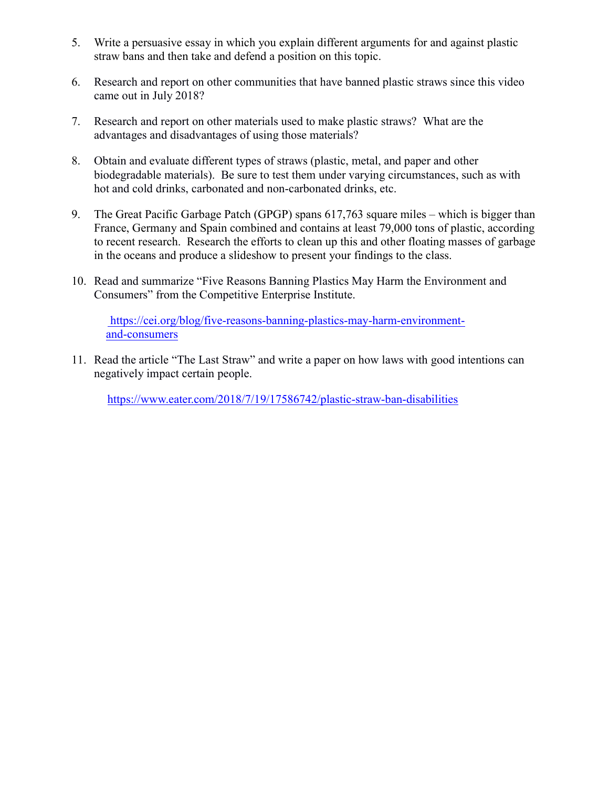- 5. Write a persuasive essay in which you explain different arguments for and against plastic straw bans and then take and defend a position on this topic.
- 6. Research and report on other communities that have banned plastic straws since this video came out in July 2018?
- 7. Research and report on other materials used to make plastic straws? What are the advantages and disadvantages of using those materials?
- 8. Obtain and evaluate different types of straws (plastic, metal, and paper and other biodegradable materials). Be sure to test them under varying circumstances, such as with hot and cold drinks, carbonated and non-carbonated drinks, etc.
- 9. The Great Pacific Garbage Patch (GPGP) spans 617,763 square miles which is bigger than France, Germany and Spain combined and contains at least 79,000 tons of plastic, according to recent research. Research the efforts to clean up this and other floating masses of garbage in the oceans and produce a slideshow to present your findings to the class.
- 10. Read and summarize "Five Reasons Banning Plastics May Harm the Environment and Consumers" from the Competitive Enterprise Institute.

[https://cei.org/blog/five-reasons-banning-plastics-may-harm-environment](https://cei.org/blog/five-reasons-banning-plastics-may-harm-environment-and-consumers11)and-consumers

[11.](https://cei.org/blog/five-reasons-banning-plastics-may-harm-environment-and-consumers11) Read the article "The Last Straw" and write a paper on how laws with good intentions can negatively impact certain people.

<https://www.eater.com/2018/7/19/17586742/plastic-straw-ban-disabilities>